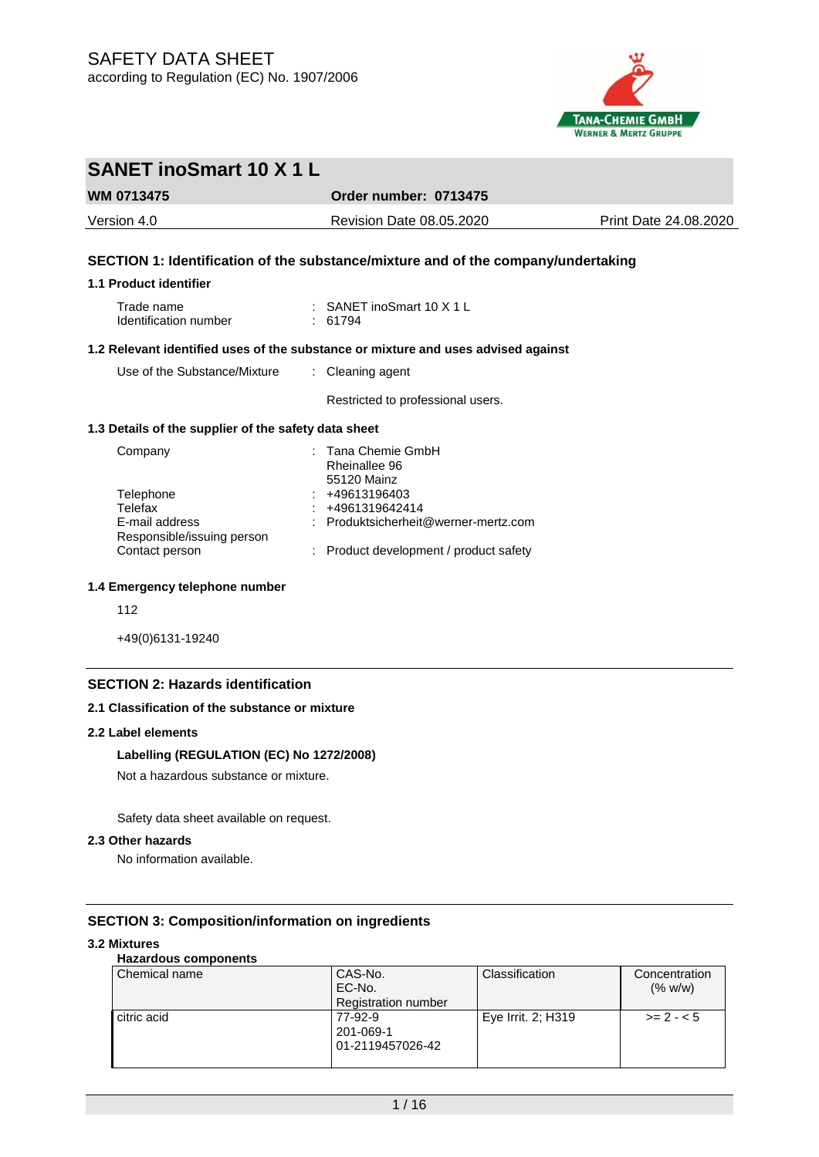

| SANET INOSMATE TU A T L                              |                                                                                   |                       |
|------------------------------------------------------|-----------------------------------------------------------------------------------|-----------------------|
| <b>WM 0713475</b>                                    | Order number: 0713475                                                             |                       |
| Version 4.0                                          | Revision Date 08.05.2020                                                          | Print Date 24.08.2020 |
|                                                      |                                                                                   |                       |
|                                                      | SECTION 1: Identification of the substance/mixture and of the company/undertaking |                       |
| 1.1 Product identifier                               |                                                                                   |                       |
| Trade name<br>Identification number                  | : SANET ino Smart 10 $X$ 1 L<br>61794                                             |                       |
|                                                      | 1.2 Relevant identified uses of the substance or mixture and uses advised against |                       |
| Use of the Substance/Mixture                         | Cleaning agent<br>÷.                                                              |                       |
|                                                      | Restricted to professional users.                                                 |                       |
| 1.3 Details of the supplier of the safety data sheet |                                                                                   |                       |
| Company                                              | Tana Chemie GmbH<br>Rheinallee 96<br>55120 Mainz                                  |                       |
| Telephone                                            | +49613196403                                                                      |                       |
| Telefax                                              | +4961319642414                                                                    |                       |
| E-mail address<br>Responsible/issuing person         | Produktsicherheit@werner-mertz.com                                                |                       |
| Contact person                                       | Product development / product safety                                              |                       |
| 1.4 Emergency telephone number                       |                                                                                   |                       |
| 112                                                  |                                                                                   |                       |
| +49(0)6131-19240                                     |                                                                                   |                       |
|                                                      |                                                                                   |                       |
| <b>SECTION 2: Hazards identification</b>             |                                                                                   |                       |

# **2.1 Classification of the substance or mixture**

#### **2.2 Label elements**

# **Labelling (REGULATION (EC) No 1272/2008)**

Not a hazardous substance or mixture.

Safety data sheet available on request.

#### **2.3 Other hazards**

No information available.

# **SECTION 3: Composition/information on ingredients**

#### **3.2 Mixtures**

# **Hazardous components**

| Chemical name | CAS-No.                    | Classification     | Concentration |
|---------------|----------------------------|--------------------|---------------|
|               | EC-No.                     |                    | (% w/w)       |
|               | <b>Registration number</b> |                    |               |
| citric acid   | 77-92-9<br>201-069-1       | Eye Irrit. 2; H319 | $>= 2 - 5$    |
|               | 01-2119457026-42           |                    |               |
|               |                            |                    |               |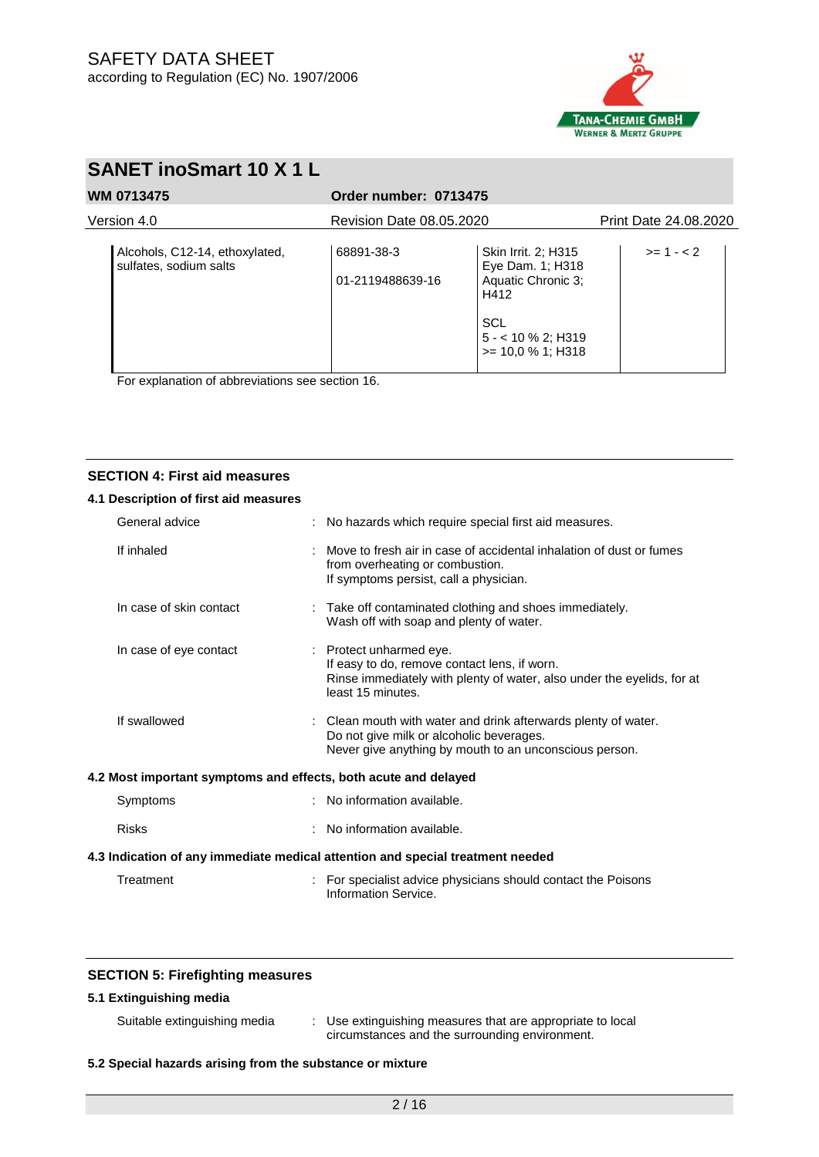

| <b>WM 0713475</b>                                        | Order number: 0713475           |                                                                                                                            |              |
|----------------------------------------------------------|---------------------------------|----------------------------------------------------------------------------------------------------------------------------|--------------|
| Version 4.0                                              | <b>Revision Date 08.05.2020</b> | <b>Print Date 24.08.2020</b>                                                                                               |              |
| Alcohols, C12-14, ethoxylated,<br>sulfates, sodium salts | 68891-38-3<br>01-2119488639-16  | Skin Irrit. 2: H315<br>Eye Dam. 1; H318<br>Aquatic Chronic 3;<br>H412<br>SCL<br>$5 - 10 \%$ 2; H319<br>$>= 10.0 % 1; H318$ | $>= 1 - < 2$ |

For explanation of abbreviations see section 16.

# **SECTION 4: First aid measures**

#### **4.1 Description of first aid measures**

| General advice                                                  |  | : No hazards which require special first aid measures.                                                                                                                   |
|-----------------------------------------------------------------|--|--------------------------------------------------------------------------------------------------------------------------------------------------------------------------|
| If inhaled                                                      |  | : Move to fresh air in case of accidental inhalation of dust or fumes<br>from overheating or combustion.<br>If symptoms persist, call a physician.                       |
| In case of skin contact                                         |  | : Take off contaminated clothing and shoes immediately.<br>Wash off with soap and plenty of water.                                                                       |
| In case of eye contact                                          |  | $:$ Protect unharmed eye.<br>If easy to do, remove contact lens, if worn.<br>Rinse immediately with plenty of water, also under the eyelids, for at<br>least 15 minutes. |
| If swallowed                                                    |  | : Clean mouth with water and drink afterwards plenty of water.<br>Do not give milk or alcoholic beverages.<br>Never give anything by mouth to an unconscious person.     |
| 4.2 Most important symptoms and effects, both acute and delayed |  |                                                                                                                                                                          |
| Symptoms                                                        |  | : No information available.                                                                                                                                              |
| <b>Risks</b>                                                    |  | No information available.                                                                                                                                                |

### **4.3 Indication of any immediate medical attention and special treatment needed**

| Treatment | : For specialist advice physicians should contact the Poisons |
|-----------|---------------------------------------------------------------|
|           | Information Service.                                          |

### **SECTION 5: Firefighting measures**

#### **5.1 Extinguishing media**

| Suitable extinguishing media | Use extinguishing measures that are appropriate to local |
|------------------------------|----------------------------------------------------------|
|                              | circumstances and the surrounding environment.           |

### **5.2 Special hazards arising from the substance or mixture**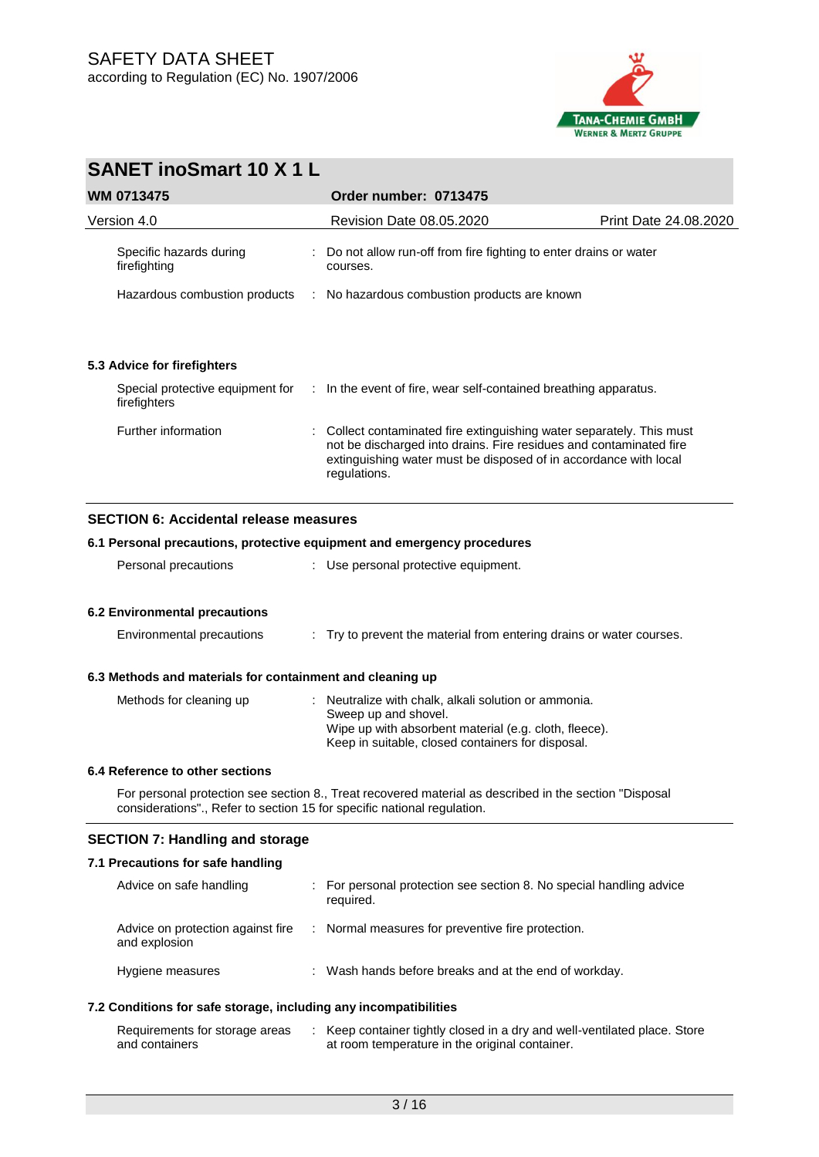

| <b>WM 0713475</b>                                | Order number: 0713475                                                                                                                                                                                                           |                       |
|--------------------------------------------------|---------------------------------------------------------------------------------------------------------------------------------------------------------------------------------------------------------------------------------|-----------------------|
| Version 4.0                                      | Revision Date 08.05.2020                                                                                                                                                                                                        | Print Date 24.08.2020 |
| Specific hazards during<br>firefighting          | : Do not allow run-off from fire fighting to enter drains or water<br>courses.                                                                                                                                                  |                       |
| Hazardous combustion products                    | : No hazardous combustion products are known                                                                                                                                                                                    |                       |
| 5.3 Advice for firefighters                      |                                                                                                                                                                                                                                 |                       |
| Special protective equipment for<br>firefighters | $\therefore$ In the event of fire, wear self-contained breathing apparatus.                                                                                                                                                     |                       |
| Further information                              | : Collect contaminated fire extinguishing water separately. This must<br>not be discharged into drains. Fire residues and contaminated fire<br>extinguishing water must be disposed of in accordance with local<br>regulations. |                       |

#### **SECTION 6: Accidental release measures**

#### **6.1 Personal precautions, protective equipment and emergency procedures**

#### **6.2 Environmental precautions**

| Environmental precautions |  | : Try to prevent the material from entering drains or water courses. |
|---------------------------|--|----------------------------------------------------------------------|
|---------------------------|--|----------------------------------------------------------------------|

#### **6.3 Methods and materials for containment and cleaning up**

| Methods for cleaning up | : Neutralize with chalk, alkali solution or ammonia.  |
|-------------------------|-------------------------------------------------------|
|                         | Sweep up and shovel.                                  |
|                         | Wipe up with absorbent material (e.g. cloth, fleece). |
|                         | Keep in suitable, closed containers for disposal.     |
|                         |                                                       |

#### **6.4 Reference to other sections**

For personal protection see section 8., Treat recovered material as described in the section "Disposal considerations"., Refer to section 15 for specific national regulation.

#### **SECTION 7: Handling and storage**

# **7.1 Precautions for safe handling**

| Advice on safe handling                            | : For personal protection see section 8. No special handling advice<br>required. |
|----------------------------------------------------|----------------------------------------------------------------------------------|
| Advice on protection against fire<br>and explosion | : Normal measures for preventive fire protection.                                |
| Hygiene measures                                   | : Wash hands before breaks and at the end of workday.                            |

#### **7.2 Conditions for safe storage, including any incompatibilities**

| Requirements for storage areas | : Keep container tightly closed in a dry and well-ventilated place. Store |  |
|--------------------------------|---------------------------------------------------------------------------|--|
| and containers                 | at room temperature in the original container.                            |  |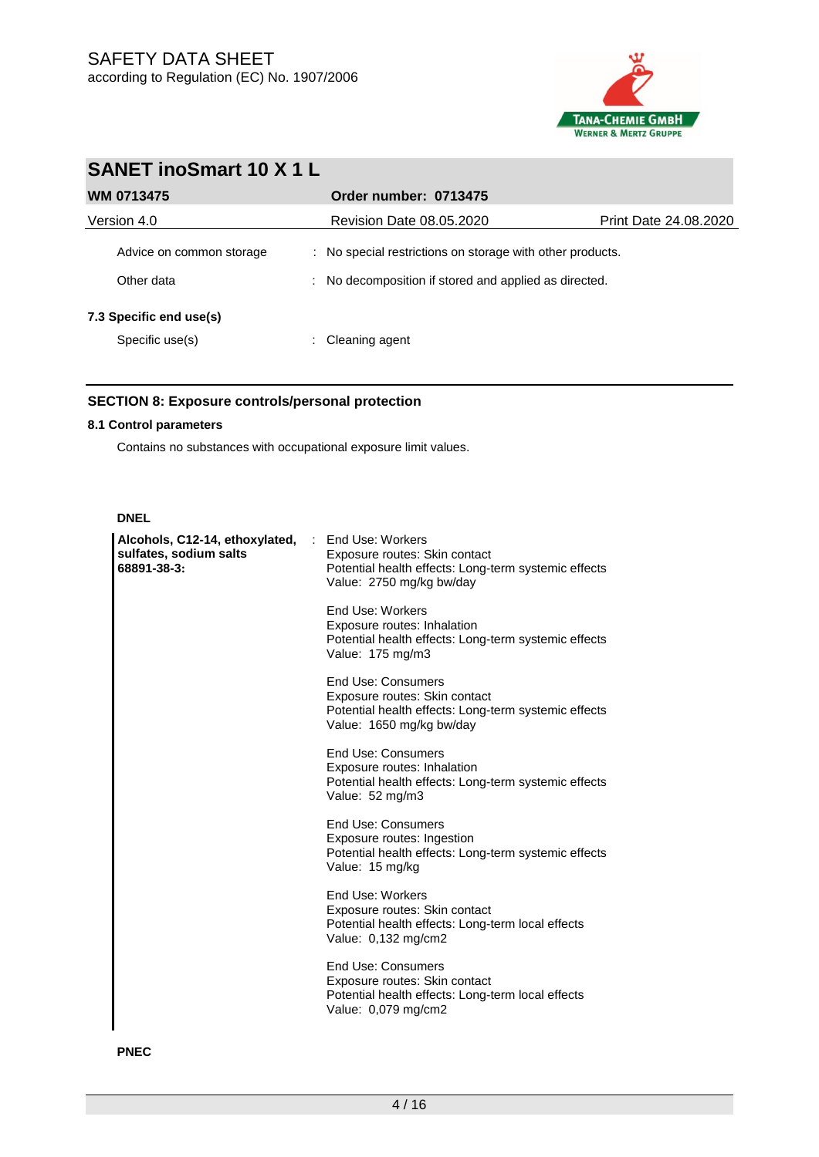

| <b>WM 0713475</b>                          | Order number: 0713475                                                                                                  |                       |  |  |
|--------------------------------------------|------------------------------------------------------------------------------------------------------------------------|-----------------------|--|--|
| Version 4.0                                | <b>Revision Date 08.05.2020</b>                                                                                        | Print Date 24.08.2020 |  |  |
| Advice on common storage<br>Other data     | : No special restrictions on storage with other products.<br>No decomposition if stored and applied as directed.<br>÷. |                       |  |  |
| 7.3 Specific end use(s)<br>Specific use(s) | Cleaning agent                                                                                                         |                       |  |  |

# **SECTION 8: Exposure controls/personal protection**

#### **8.1 Control parameters**

Contains no substances with occupational exposure limit values.

**DNEL**

| Alcohols, C12-14, ethoxylated, : End Use: Workers<br>sulfates, sodium salts<br>68891-38-3: |  | Exposure routes: Skin contact<br>Potential health effects: Long-term systemic effects<br>Value: 2750 mg/kg bw/day                       |
|--------------------------------------------------------------------------------------------|--|-----------------------------------------------------------------------------------------------------------------------------------------|
|                                                                                            |  | <b>End Use: Workers</b><br>Exposure routes: Inhalation<br>Potential health effects: Long-term systemic effects<br>Value: 175 mg/m3      |
|                                                                                            |  | End Use: Consumers<br>Exposure routes: Skin contact<br>Potential health effects: Long-term systemic effects<br>Value: 1650 mg/kg bw/day |
|                                                                                            |  | End Use: Consumers<br>Exposure routes: Inhalation<br>Potential health effects: Long-term systemic effects<br>Value: 52 mg/m3            |
|                                                                                            |  | End Use: Consumers<br>Exposure routes: Ingestion<br>Potential health effects: Long-term systemic effects<br>Value: 15 mg/kg             |
|                                                                                            |  | End Use: Workers<br>Exposure routes: Skin contact<br>Potential health effects: Long-term local effects<br>Value: 0,132 mg/cm2           |
|                                                                                            |  | <b>End Use: Consumers</b><br>Exposure routes: Skin contact<br>Potential health effects: Long-term local effects<br>Value: 0,079 mg/cm2  |

**PNEC**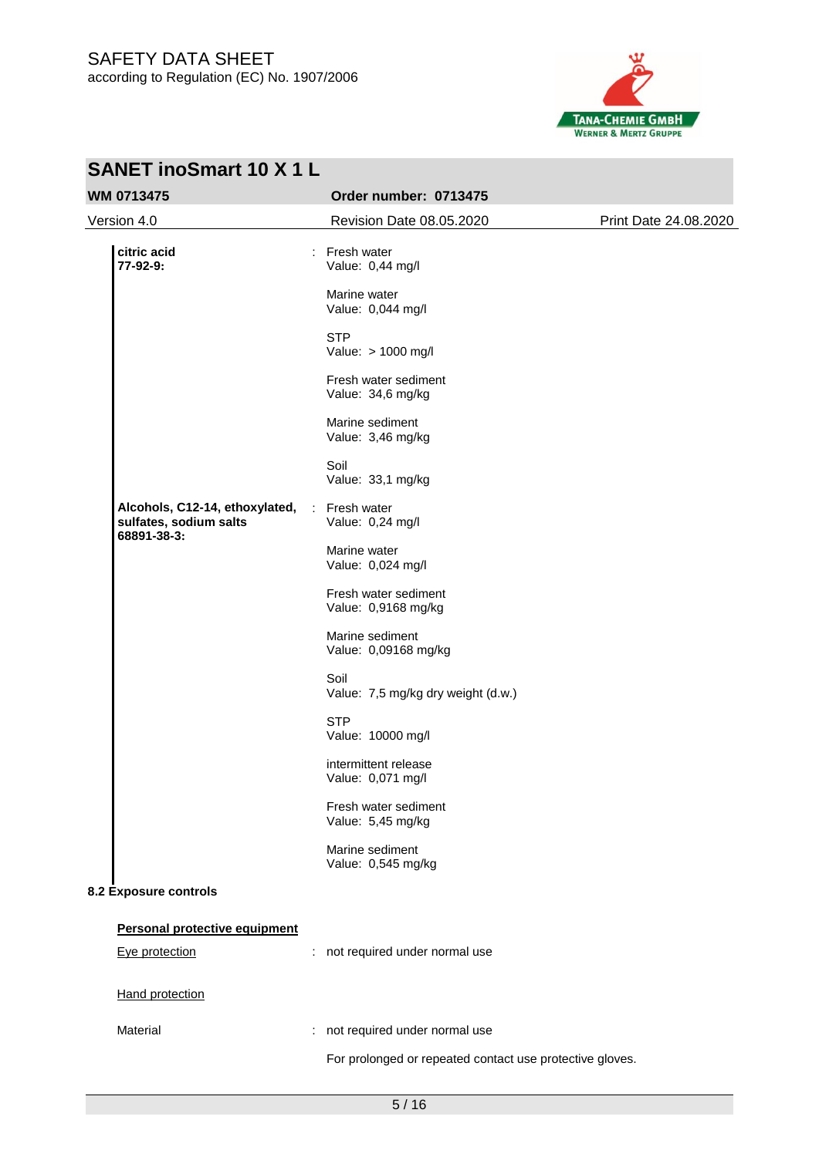# SAFETY DATA SHEET according to Regulation (EC) No. 1907/2006



# **SANET inoSmart 10 X 1 L**

| WM 0713475                                                              |  | Order number: 0713475                                    |                       |
|-------------------------------------------------------------------------|--|----------------------------------------------------------|-----------------------|
| Version 4.0                                                             |  | Revision Date 08.05.2020                                 | Print Date 24.08.2020 |
| citric acid<br>77-92-9:                                                 |  | Fresh water<br>Value: 0,44 mg/l                          |                       |
|                                                                         |  | Marine water<br>Value: 0,044 mg/l                        |                       |
|                                                                         |  | <b>STP</b><br>Value: > 1000 mg/l                         |                       |
|                                                                         |  | Fresh water sediment<br>Value: 34,6 mg/kg                |                       |
|                                                                         |  | Marine sediment<br>Value: 3,46 mg/kg                     |                       |
|                                                                         |  | Soil<br>Value: 33,1 mg/kg                                |                       |
| Alcohols, C12-14, ethoxylated,<br>sulfates, sodium salts<br>68891-38-3: |  | : Fresh water<br>Value: 0,24 mg/l                        |                       |
|                                                                         |  | Marine water<br>Value: 0,024 mg/l                        |                       |
|                                                                         |  | Fresh water sediment<br>Value: 0,9168 mg/kg              |                       |
|                                                                         |  | Marine sediment<br>Value: 0,09168 mg/kg                  |                       |
|                                                                         |  | Soil<br>Value: 7,5 mg/kg dry weight (d.w.)               |                       |
|                                                                         |  | <b>STP</b><br>Value: 10000 mg/l                          |                       |
|                                                                         |  | intermittent release<br>Value: 0,071 mg/l                |                       |
|                                                                         |  | Fresh water sediment<br>Value: 5,45 mg/kg                |                       |
|                                                                         |  | Marine sediment<br>Value: 0,545 mg/kg                    |                       |
| 8.2 Exposure controls                                                   |  |                                                          |                       |
| <b>Personal protective equipment</b>                                    |  |                                                          |                       |
| Eye protection                                                          |  | : not required under normal use                          |                       |
| <b>Hand protection</b>                                                  |  |                                                          |                       |
| Material                                                                |  | not required under normal use                            |                       |
|                                                                         |  | For prolonged or repeated contact use protective gloves. |                       |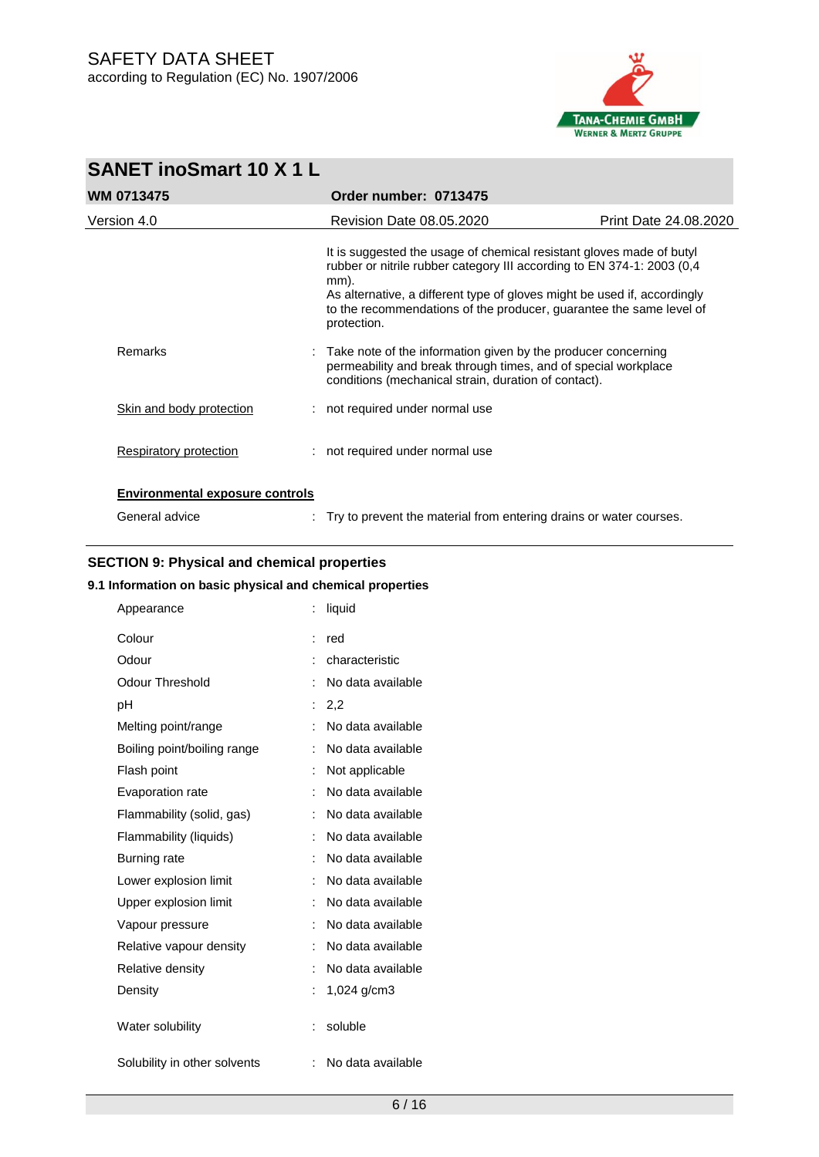

| <b>SANET inoSmart 10 X 1 L</b>         |  |                                                                                                                                                                                                                                                                                                                          |                       |  |
|----------------------------------------|--|--------------------------------------------------------------------------------------------------------------------------------------------------------------------------------------------------------------------------------------------------------------------------------------------------------------------------|-----------------------|--|
| <b>WM 0713475</b>                      |  | Order number: 0713475                                                                                                                                                                                                                                                                                                    |                       |  |
| Version 4.0                            |  | <b>Revision Date 08.05.2020</b>                                                                                                                                                                                                                                                                                          | Print Date 24.08.2020 |  |
|                                        |  | It is suggested the usage of chemical resistant gloves made of butyl<br>rubber or nitrile rubber category III according to EN 374-1: 2003 (0,4<br>mm).<br>As alternative, a different type of gloves might be used if, accordingly<br>to the recommendations of the producer, guarantee the same level of<br>protection. |                       |  |
| Remarks                                |  | : Take note of the information given by the producer concerning<br>permeability and break through times, and of special workplace<br>conditions (mechanical strain, duration of contact).                                                                                                                                |                       |  |
| Skin and body protection               |  | : not required under normal use                                                                                                                                                                                                                                                                                          |                       |  |
| Respiratory protection                 |  | : not required under normal use                                                                                                                                                                                                                                                                                          |                       |  |
| <b>Environmental exposure controls</b> |  |                                                                                                                                                                                                                                                                                                                          |                       |  |
| General advice                         |  | Try to prevent the material from entering drains or water courses.                                                                                                                                                                                                                                                       |                       |  |

# **SECTION 9: Physical and chemical properties**

# **9.1 Information on basic physical and chemical properties**

| Appearance                   | liquid            |
|------------------------------|-------------------|
| Colour                       | red               |
| Odour                        | characteristic    |
| <b>Odour Threshold</b>       | No data available |
| рH                           | 2,2               |
| Melting point/range          | No data available |
| Boiling point/boiling range  | No data available |
| Flash point                  | Not applicable    |
| Evaporation rate             | No data available |
| Flammability (solid, gas)    | No data available |
| Flammability (liquids)       | No data available |
| Burning rate                 | No data available |
| Lower explosion limit        | No data available |
| Upper explosion limit        | No data available |
| Vapour pressure              | No data available |
| Relative vapour density      | No data available |
| Relative density             | No data available |
| Density                      | 1,024 g/cm3       |
| Water solubility             | soluble           |
| Solubility in other solvents | No data available |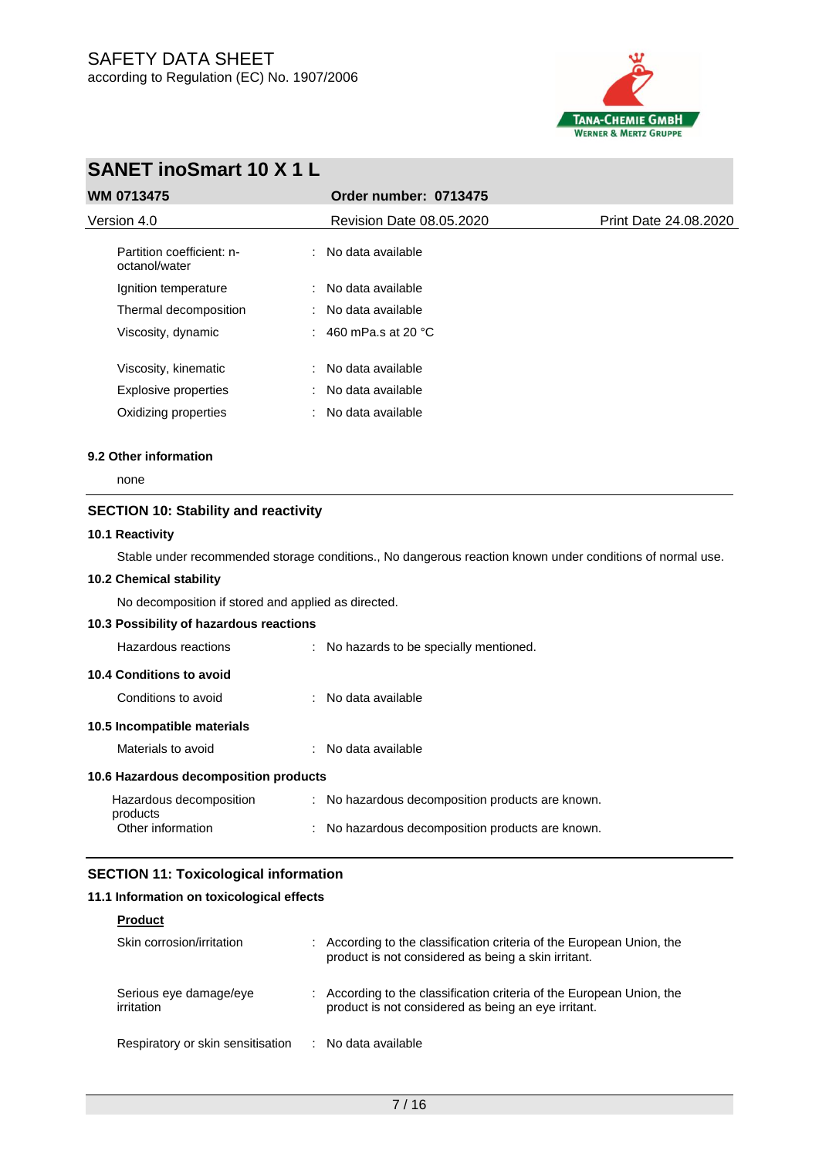

| <b>WM 0713475</b>                          | Order number: 0713475           |                       |
|--------------------------------------------|---------------------------------|-----------------------|
| Version 4.0                                | <b>Revision Date 08.05.2020</b> | Print Date 24.08.2020 |
| Partition coefficient: n-<br>octanol/water | : No data available             |                       |
| Ignition temperature                       | : No data available             |                       |
| Thermal decomposition                      | : No data available             |                       |
| Viscosity, dynamic                         | : 460 mPa.s at 20 $^{\circ}$ C  |                       |
| Viscosity, kinematic                       | No data available<br>÷          |                       |
| Explosive properties                       | : No data available             |                       |
| Oxidizing properties                       | : No data available             |                       |

#### **9.2 Other information**

none

# **SECTION 10: Stability and reactivity**

# **10.1 Reactivity**

Stable under recommended storage conditions., No dangerous reaction known under conditions of normal use.

# **10.2 Chemical stability**

No decomposition if stored and applied as directed.

# **10.3 Possibility of hazardous reactions**

| Hazardous reactions                   | : No hazards to be specially mentioned.          |  |
|---------------------------------------|--------------------------------------------------|--|
| 10.4 Conditions to avoid              |                                                  |  |
| Conditions to avoid                   | : No data available                              |  |
| 10.5 Incompatible materials           |                                                  |  |
| Materials to avoid                    | : No data available                              |  |
| 10.6 Hazardous decomposition products |                                                  |  |
| Hazardous decomposition<br>products   | : No hazardous decomposition products are known. |  |
| Other information                     | : No hazardous decomposition products are known. |  |

### **SECTION 11: Toxicological information**

# **11.1 Information on toxicological effects**

| <b>Product</b>                       |                                                                                                                              |
|--------------------------------------|------------------------------------------------------------------------------------------------------------------------------|
| Skin corrosion/irritation            | : According to the classification criteria of the European Union, the<br>product is not considered as being a skin irritant. |
| Serious eye damage/eye<br>irritation | : According to the classification criteria of the European Union, the<br>product is not considered as being an eye irritant. |
| Respiratory or skin sensitisation    | : No data available                                                                                                          |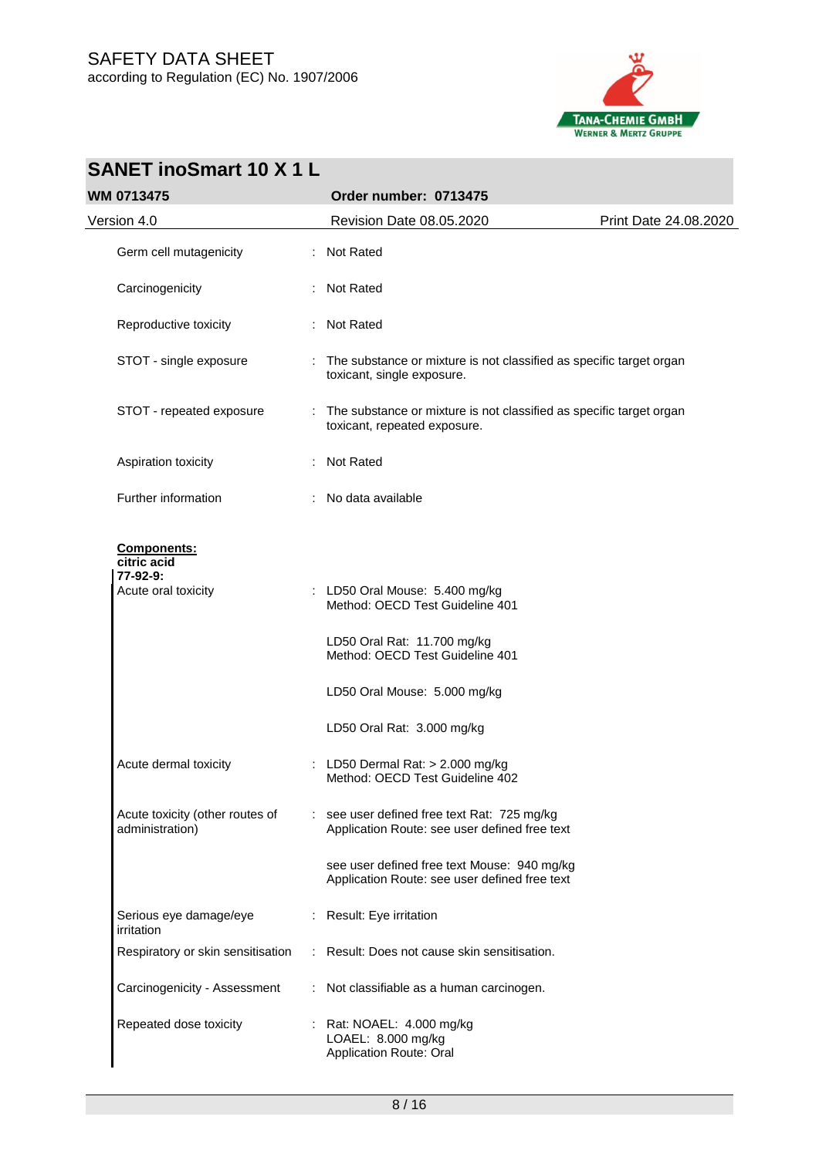

| WM 0713475                                                           | Order number: 0713475                                                                               |                       |
|----------------------------------------------------------------------|-----------------------------------------------------------------------------------------------------|-----------------------|
| Version 4.0                                                          | Revision Date 08.05.2020                                                                            | Print Date 24.08.2020 |
| Germ cell mutagenicity                                               | Not Rated                                                                                           |                       |
| Carcinogenicity                                                      | Not Rated                                                                                           |                       |
| Reproductive toxicity                                                | : Not Rated                                                                                         |                       |
| STOT - single exposure                                               | The substance or mixture is not classified as specific target organ<br>toxicant, single exposure.   |                       |
| STOT - repeated exposure                                             | The substance or mixture is not classified as specific target organ<br>toxicant, repeated exposure. |                       |
| Aspiration toxicity                                                  | Not Rated                                                                                           |                       |
| Further information                                                  | No data available                                                                                   |                       |
| <b>Components:</b><br>citric acid<br>77-92-9:<br>Acute oral toxicity | : LD50 Oral Mouse: 5.400 mg/kg<br>Method: OECD Test Guideline 401                                   |                       |
|                                                                      | LD50 Oral Rat: 11.700 mg/kg<br>Method: OECD Test Guideline 401                                      |                       |
|                                                                      | LD50 Oral Mouse: 5.000 mg/kg                                                                        |                       |
|                                                                      | LD50 Oral Rat: 3.000 mg/kg                                                                          |                       |
| Acute dermal toxicity                                                | : LD50 Dermal Rat: > 2.000 mg/kg<br>Method: OECD Test Guideline 402                                 |                       |
| Acute toxicity (other routes of<br>administration)                   | : see user defined free text Rat: 725 mg/kg<br>Application Route: see user defined free text        |                       |
|                                                                      | see user defined free text Mouse: 940 mg/kg<br>Application Route: see user defined free text        |                       |
| Serious eye damage/eye<br>irritation                                 | Result: Eye irritation                                                                              |                       |
| Respiratory or skin sensitisation                                    | : Result: Does not cause skin sensitisation.                                                        |                       |
| Carcinogenicity - Assessment                                         | : Not classifiable as a human carcinogen.                                                           |                       |
| Repeated dose toxicity                                               | : Rat: NOAEL: 4.000 mg/kg<br>LOAEL: 8.000 mg/kg<br>Application Route: Oral                          |                       |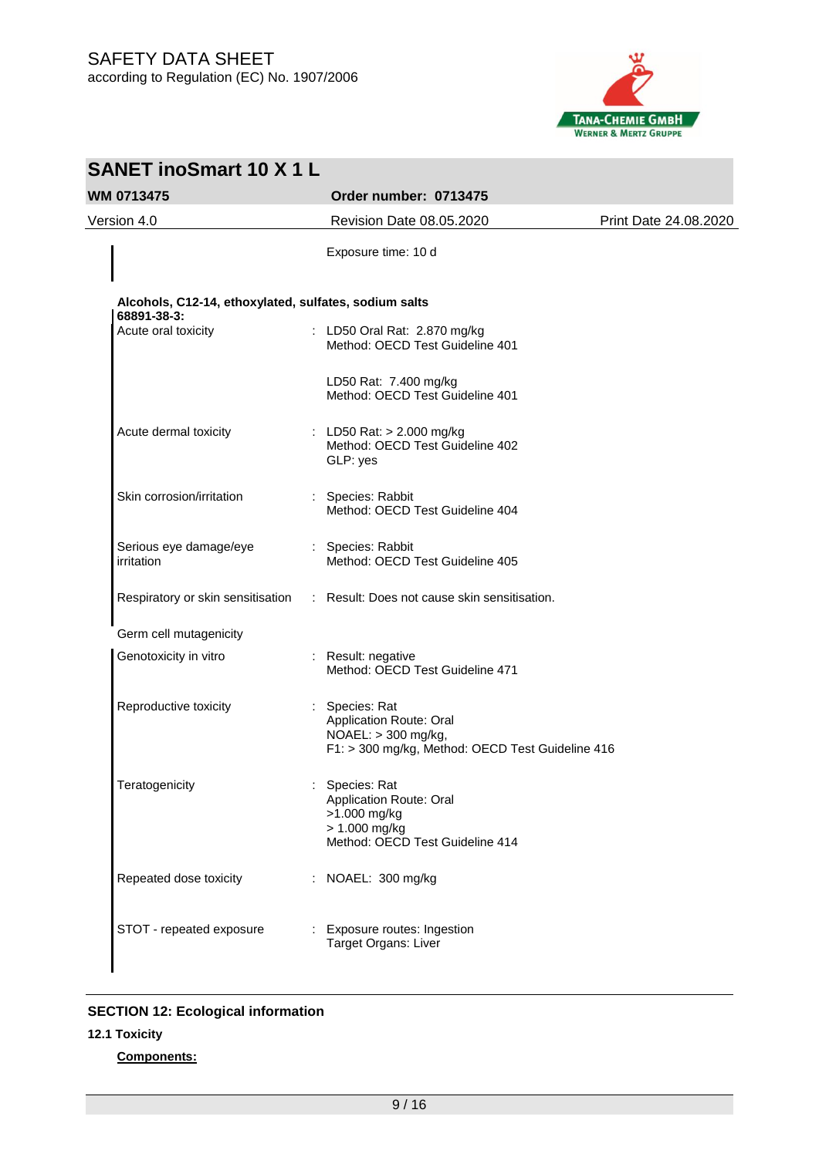

| WM 0713475                                                           | Order number: 0713475                                                                                                  |                       |  |  |
|----------------------------------------------------------------------|------------------------------------------------------------------------------------------------------------------------|-----------------------|--|--|
| Version 4.0                                                          | Revision Date 08.05.2020                                                                                               | Print Date 24.08.2020 |  |  |
|                                                                      | Exposure time: 10 d                                                                                                    |                       |  |  |
| Alcohols, C12-14, ethoxylated, sulfates, sodium salts<br>68891-38-3: |                                                                                                                        |                       |  |  |
| Acute oral toxicity                                                  | : LD50 Oral Rat: 2.870 mg/kg<br>Method: OECD Test Guideline 401                                                        |                       |  |  |
|                                                                      | LD50 Rat: 7.400 mg/kg<br>Method: OECD Test Guideline 401                                                               |                       |  |  |
| Acute dermal toxicity                                                | : LD50 Rat: > 2.000 mg/kg<br>Method: OECD Test Guideline 402<br>GLP: yes                                               |                       |  |  |
| Skin corrosion/irritation                                            | : Species: Rabbit<br>Method: OECD Test Guideline 404                                                                   |                       |  |  |
| Serious eye damage/eye<br>irritation                                 | : Species: Rabbit<br>Method: OECD Test Guideline 405                                                                   |                       |  |  |
|                                                                      | Respiratory or skin sensitisation : Result: Does not cause skin sensitisation.                                         |                       |  |  |
| Germ cell mutagenicity                                               |                                                                                                                        |                       |  |  |
| Genotoxicity in vitro                                                | : Result: negative<br>Method: OECD Test Guideline 471                                                                  |                       |  |  |
| Reproductive toxicity                                                | : Species: Rat<br>Application Route: Oral<br>$NOAEL:$ > 300 mg/kg,<br>F1: > 300 mg/kg, Method: OECD Test Guideline 416 |                       |  |  |
| Teratogenicity                                                       | : Species: Rat<br>Application Route: Oral<br>>1.000 mg/kg<br>> 1.000 mg/kg<br>Method: OECD Test Guideline 414          |                       |  |  |
| Repeated dose toxicity                                               | : NOAEL: 300 mg/kg                                                                                                     |                       |  |  |
| STOT - repeated exposure                                             | : Exposure routes: Ingestion<br>Target Organs: Liver                                                                   |                       |  |  |

# **SECTION 12: Ecological information**

# **12.1 Toxicity**

### **Components:**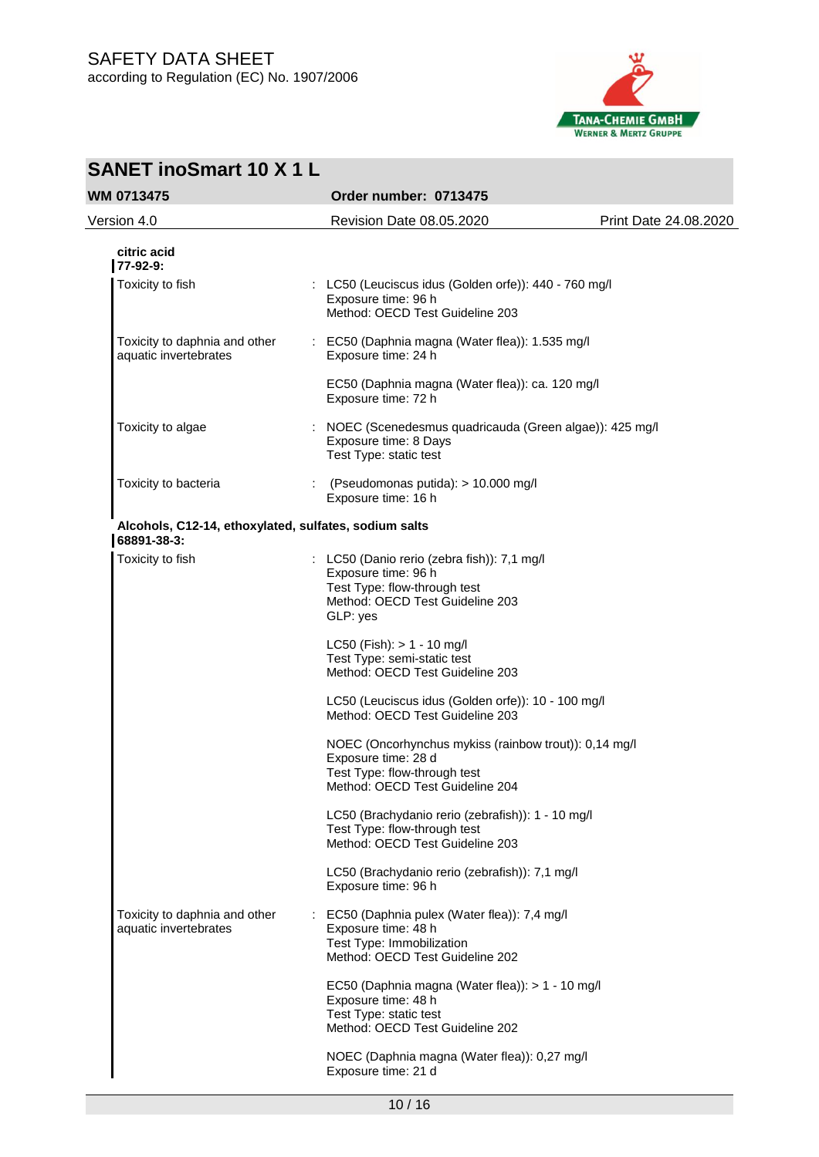# SAFETY DATA SHEET according to Regulation (EC) No. 1907/2006



| <b>SANET inoSmart 10 X 1 L</b>                                       |                                                                                                                                                   |                       |
|----------------------------------------------------------------------|---------------------------------------------------------------------------------------------------------------------------------------------------|-----------------------|
| <b>WM 0713475</b>                                                    | Order number: 0713475                                                                                                                             |                       |
| Version 4.0                                                          | Revision Date 08.05.2020                                                                                                                          | Print Date 24.08.2020 |
| citric acid<br>77-92-9:                                              |                                                                                                                                                   |                       |
| Toxicity to fish                                                     | : LC50 (Leuciscus idus (Golden orfe)): 440 - 760 mg/l<br>Exposure time: 96 h<br>Method: OECD Test Guideline 203                                   |                       |
| Toxicity to daphnia and other<br>aquatic invertebrates               | : EC50 (Daphnia magna (Water flea)): 1.535 mg/l<br>Exposure time: 24 h                                                                            |                       |
|                                                                      | EC50 (Daphnia magna (Water flea)): ca. 120 mg/l<br>Exposure time: 72 h                                                                            |                       |
| Toxicity to algae                                                    | NOEC (Scenedesmus quadricauda (Green algae)): 425 mg/l<br>Exposure time: 8 Days<br>Test Type: static test                                         |                       |
| Toxicity to bacteria                                                 | (Pseudomonas putida): > 10.000 mg/l<br>Exposure time: 16 h                                                                                        |                       |
| Alcohols, C12-14, ethoxylated, sulfates, sodium salts<br>68891-38-3: |                                                                                                                                                   |                       |
| Toxicity to fish                                                     | : LC50 (Danio rerio (zebra fish)): 7,1 mg/l<br>Exposure time: 96 h<br>Test Type: flow-through test<br>Method: OECD Test Guideline 203<br>GLP: yes |                       |
|                                                                      | LC50 (Fish): $> 1 - 10$ mg/l<br>Test Type: semi-static test<br>Method: OECD Test Guideline 203                                                    |                       |
|                                                                      | LC50 (Leuciscus idus (Golden orfe)): 10 - 100 mg/l<br>Method: OECD Test Guideline 203                                                             |                       |
|                                                                      | NOEC (Oncorhynchus mykiss (rainbow trout)): 0,14 mg/l<br>Exposure time: 28 d<br>Test Type: flow-through test<br>Method: OECD Test Guideline 204   |                       |
|                                                                      | LC50 (Brachydanio rerio (zebrafish)): 1 - 10 mg/l<br>Test Type: flow-through test<br>Method: OECD Test Guideline 203                              |                       |
|                                                                      | LC50 (Brachydanio rerio (zebrafish)): 7,1 mg/l<br>Exposure time: 96 h                                                                             |                       |
| Toxicity to daphnia and other<br>aquatic invertebrates               | : EC50 (Daphnia pulex (Water flea)): 7,4 mg/l<br>Exposure time: 48 h<br>Test Type: Immobilization<br>Method: OECD Test Guideline 202              |                       |
|                                                                      | EC50 (Daphnia magna (Water flea)): > 1 - 10 mg/l<br>Exposure time: 48 h<br>Test Type: static test<br>Method: OECD Test Guideline 202              |                       |
|                                                                      | NOEC (Daphnia magna (Water flea)): 0,27 mg/l<br>Exposure time: 21 d                                                                               |                       |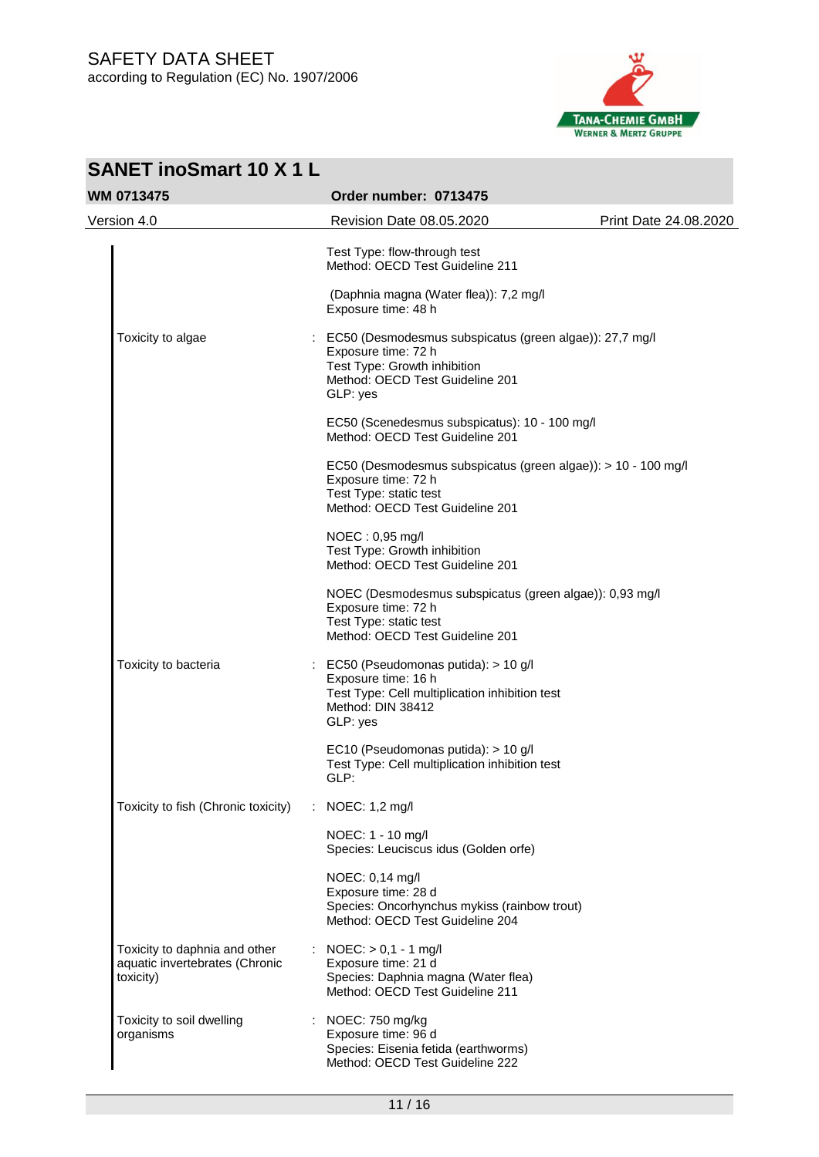

# **WM 0713475 Order number: 0713475** Version 4.0 Revision Date 08.05.2020 Print Date 24.08.2020 Test Type: flow-through test Method: OECD Test Guideline 211 (Daphnia magna (Water flea)): 7,2 mg/l Exposure time: 48 h Toxicity to algae : EC50 (Desmodesmus subspicatus (green algae)): 27,7 mg/l Exposure time: 72 h Test Type: Growth inhibition Method: OECD Test Guideline 201 GLP: yes EC50 (Scenedesmus subspicatus): 10 - 100 mg/l Method: OECD Test Guideline 201 EC50 (Desmodesmus subspicatus (green algae)): > 10 - 100 mg/l Exposure time: 72 h Test Type: static test Method: OECD Test Guideline 201 NOEC : 0,95 mg/l Test Type: Growth inhibition Method: OECD Test Guideline 201 NOEC (Desmodesmus subspicatus (green algae)): 0,93 mg/l Exposure time: 72 h Test Type: static test Method: OECD Test Guideline 201 Toxicity to bacteria : EC50 (Pseudomonas putida): > 10 g/l Exposure time: 16 h Test Type: Cell multiplication inhibition test Method: DIN 38412 GLP: yes EC10 (Pseudomonas putida): > 10 g/l Test Type: Cell multiplication inhibition test GLP: Toxicity to fish (Chronic toxicity) : NOEC: 1,2 mg/l NOEC: 1 - 10 mg/l Species: Leuciscus idus (Golden orfe) NOEC: 0,14 mg/l Exposure time: 28 d Species: Oncorhynchus mykiss (rainbow trout) Method: OECD Test Guideline 204 Toxicity to daphnia and other aquatic invertebrates (Chronic toxicity) :  $NOEC: > 0.1 - 1$  mg/l Exposure time: 21 d Species: Daphnia magna (Water flea) Method: OECD Test Guideline 211 Toxicity to soil dwelling organisms : NOEC: 750 mg/kg Exposure time: 96 d Species: Eisenia fetida (earthworms) Method: OECD Test Guideline 222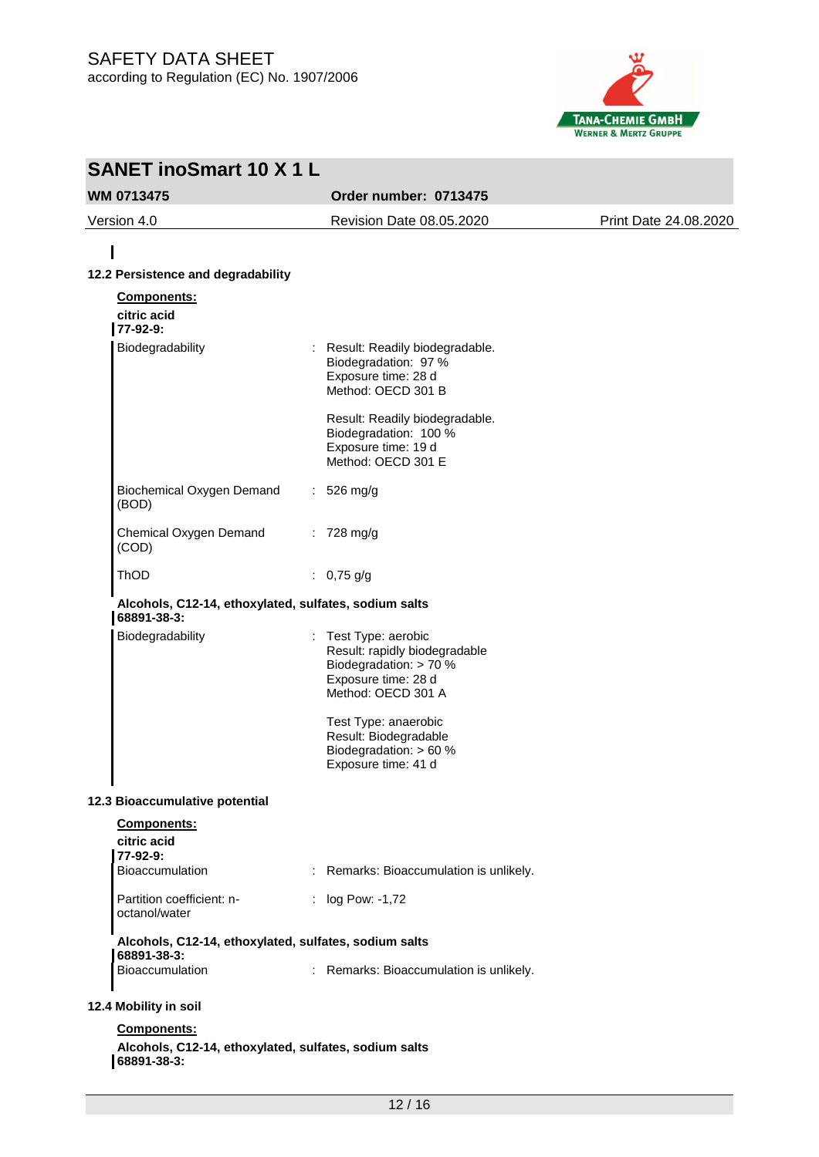

**WM 0713475 Order number: 0713475**

 $\overline{\phantom{a}}$ 

Version 4.0 Revision Date 08.05.2020 Print Date 24.08.2020

# **12.2 Persistence and degradability**

| <b>Components:</b>                                                   |    |                                                                                                                              |
|----------------------------------------------------------------------|----|------------------------------------------------------------------------------------------------------------------------------|
| citric acid<br>77-92-9:                                              |    |                                                                                                                              |
| Biodegradability                                                     |    | Result: Readily biodegradable.<br>Biodegradation: 97 %<br>Exposure time: 28 d<br>Method: OECD 301 B                          |
|                                                                      |    | Result: Readily biodegradable.<br>Biodegradation: 100 %<br>Exposure time: 19 d<br>Method: OECD 301 E                         |
| Biochemical Oxygen Demand<br>(BOD)                                   |    | $\therefore$ 526 mg/g                                                                                                        |
| Chemical Oxygen Demand : 728 mg/g<br>(COD)                           |    |                                                                                                                              |
| ThOD                                                                 |    | : $0,75 \text{ g/g}$                                                                                                         |
| Alcohols, C12-14, ethoxylated, sulfates, sodium salts<br>68891-38-3: |    |                                                                                                                              |
| Biodegradability                                                     |    | : Test Type: aerobic<br>Result: rapidly biodegradable<br>Biodegradation: > 70 %<br>Exposure time: 28 d<br>Method: OECD 301 A |
|                                                                      |    | Test Type: anaerobic<br>Result: Biodegradable<br>Biodegradation: > 60 %<br>Exposure time: 41 d                               |
| 12.3 Bioaccumulative potential                                       |    |                                                                                                                              |
| <b>Components:</b>                                                   |    |                                                                                                                              |
| citric acid<br>77-92-9:                                              |    |                                                                                                                              |
| <b>Bioaccumulation</b>                                               |    | : Remarks: Bioaccumulation is unlikely.                                                                                      |
| Partition coefficient: n-<br>octanol/water                           |    | log Pow: -1,72                                                                                                               |
| Alcohols, C12-14, ethoxylated, sulfates, sodium salts<br>68891-38-3: |    |                                                                                                                              |
| <b>Bioaccumulation</b>                                               | t. | Remarks: Bioaccumulation is unlikely.                                                                                        |
| 12.4 Mobility in soil                                                |    |                                                                                                                              |

# **Components:**

**Alcohols, C12-14, ethoxylated, sulfates, sodium salts 68891-38-3:**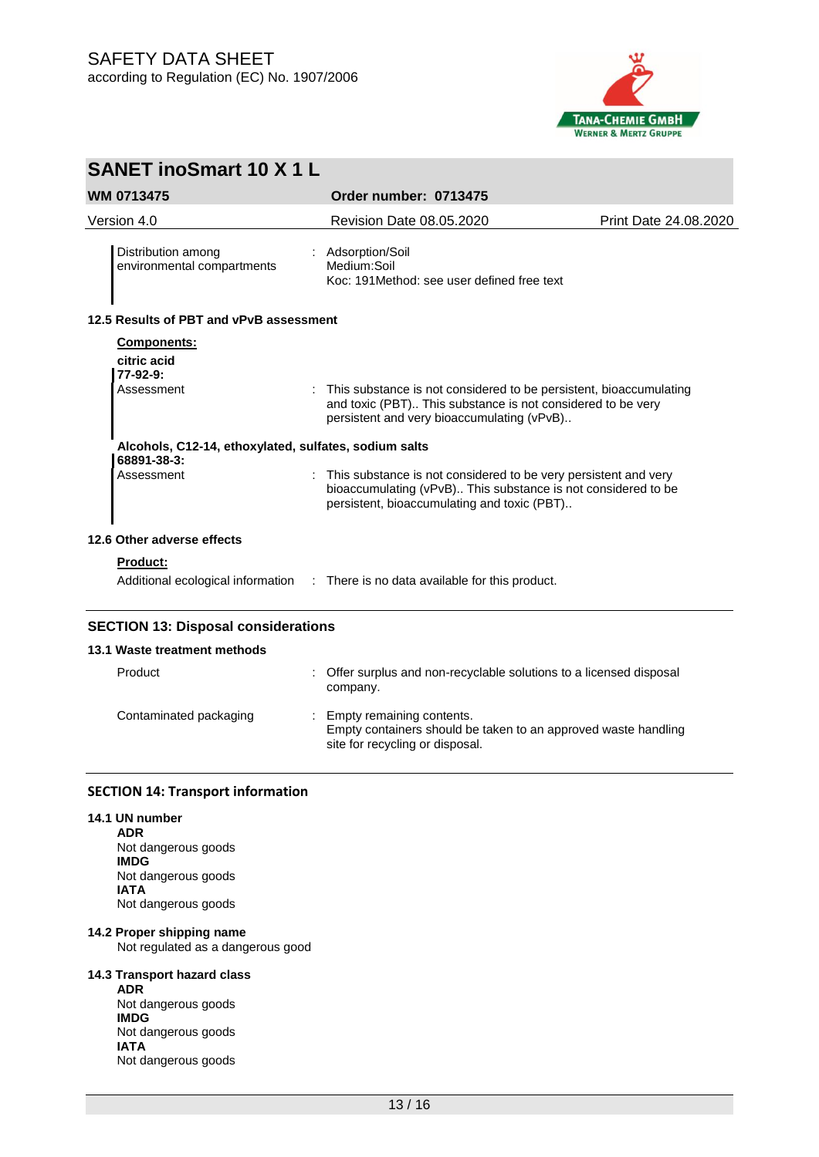

# **SANET inoSmart 10 X 1 L WM 0713475 Order number: 0713475** Version 4.0 Revision Date 08.05.2020 Print Date 24.08.2020 Distribution among environmental compartments : Adsorption/Soil Medium:Soil Koc: 191Method: see user defined free text **12.5 Results of PBT and vPvB assessment Components: citric acid 77-92-9:** Assessment **in the substance** is not considered to be persistent, bioaccumulating and toxic (PBT).. This substance is not considered to be very persistent and very bioaccumulating (vPvB).. **Alcohols, C12-14, ethoxylated, sulfates, sodium salts 68891-38-3:** this substance is not considered to be very persistent and very bioaccumulating (vPvB).. This substance is not considered to be persistent, bioaccumulating and toxic (PBT).. **12.6 Other adverse effects Product:** Additional ecological information : There is no data available for this product. **SECTION 13: Disposal considerations**

#### **13.1 Waste treatment methods**

| Product                | : Offer surplus and non-recyclable solutions to a licensed disposal<br>company.                                                  |
|------------------------|----------------------------------------------------------------------------------------------------------------------------------|
| Contaminated packaging | : Empty remaining contents.<br>Empty containers should be taken to an approved waste handling<br>site for recycling or disposal. |

#### **SECTION 14: Transport information**

### **14.1 UN number**

**ADR** Not dangerous goods **IMDG** Not dangerous goods **IATA** Not dangerous goods

**14.2 Proper shipping name** Not regulated as a dangerous good

#### **14.3 Transport hazard class**

**ADR** Not dangerous goods **IMDG** Not dangerous goods **IATA** Not dangerous goods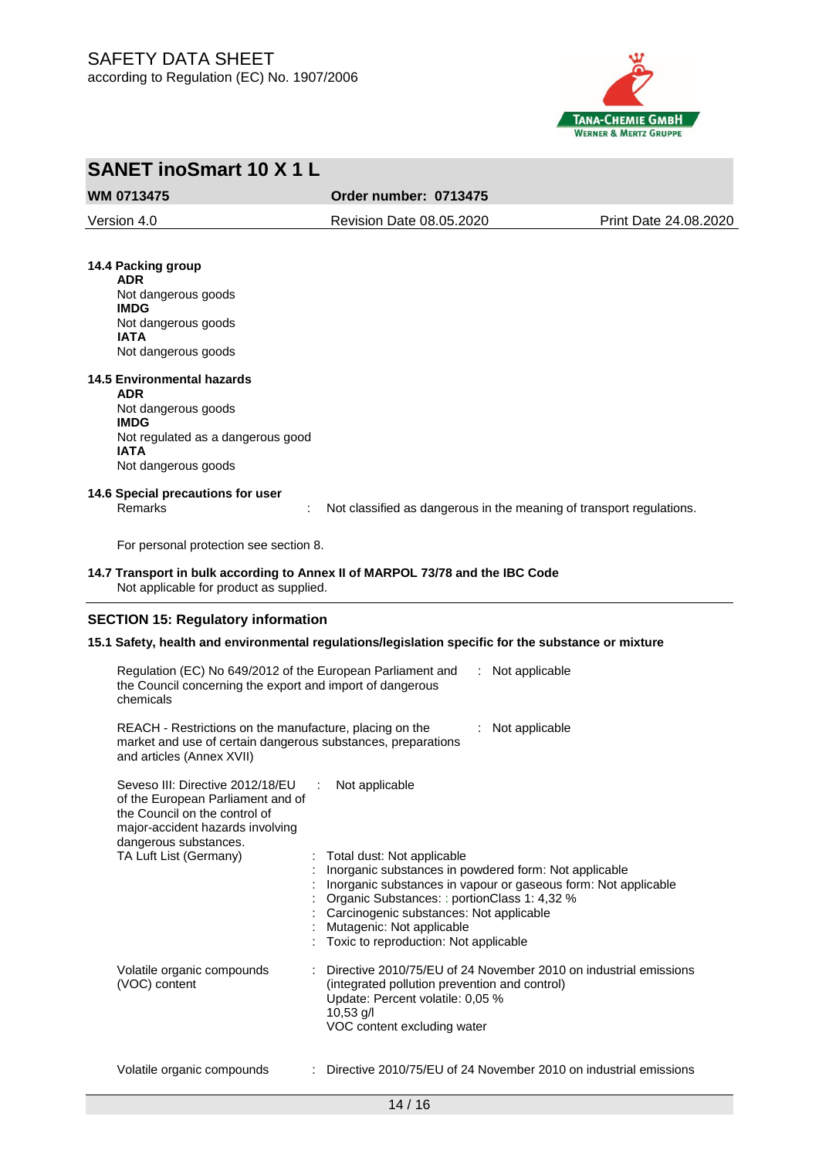REACH - Restrictions on the manufacture, placing on the market and use of certain dangerous substances, preparations

TA Luft List (Germany) : Total dust: Not applicable

: Not applicable

: Mutagenic: Not applicable

10,53 g/l

and articles (Annex XVII)

dangerous substances.

Volatile organic compounds

(VOC) content

Seveso III: Directive 2012/18/EU of the European Parliament and of the Council on the control of major-accident hazards involving

**SANET inoSmart 10 X 1 L**



| <b>WM 0713475</b>                                                                                                                    | Order number: 0713475                                                |                       |  |  |
|--------------------------------------------------------------------------------------------------------------------------------------|----------------------------------------------------------------------|-----------------------|--|--|
| Version 4.0                                                                                                                          | Revision Date 08.05.2020                                             | Print Date 24.08.2020 |  |  |
|                                                                                                                                      |                                                                      |                       |  |  |
| 14.4 Packing group<br><b>ADR</b>                                                                                                     |                                                                      |                       |  |  |
| Not dangerous goods<br><b>IMDG</b>                                                                                                   |                                                                      |                       |  |  |
| Not dangerous goods<br><b>IATA</b>                                                                                                   |                                                                      |                       |  |  |
| Not dangerous goods                                                                                                                  |                                                                      |                       |  |  |
| <b>14.5 Environmental hazards</b><br><b>ADR</b>                                                                                      |                                                                      |                       |  |  |
| Not dangerous goods<br><b>IMDG</b>                                                                                                   |                                                                      |                       |  |  |
| Not regulated as a dangerous good<br><b>IATA</b>                                                                                     |                                                                      |                       |  |  |
| Not dangerous goods                                                                                                                  |                                                                      |                       |  |  |
| 14.6 Special precautions for user<br>Remarks                                                                                         | Not classified as dangerous in the meaning of transport regulations. |                       |  |  |
| For personal protection see section 8.                                                                                               |                                                                      |                       |  |  |
| 14.7 Transport in bulk according to Annex II of MARPOL 73/78 and the IBC Code<br>Not applicable for product as supplied.             |                                                                      |                       |  |  |
| <b>SECTION 15: Regulatory information</b>                                                                                            |                                                                      |                       |  |  |
| 15.1 Safety, health and environmental regulations/legislation specific for the substance or mixture                                  |                                                                      |                       |  |  |
| Regulation (EC) No 649/2012 of the European Parliament and<br>the Council concerning the export and import of dangerous<br>chemicals | : Not applicable                                                     |                       |  |  |

: Not applicable

: Inorganic substances in powdered form: Not applicable

: Organic Substances: : portionClass 1: 4,32 % : Carcinogenic substances: Not applicable

(integrated pollution prevention and control)

Toxic to reproduction: Not applicable

Update: Percent volatile: 0,05 %

VOC content excluding water

Volatile organic compounds : Directive 2010/75/EU of 24 November 2010 on industrial emissions

: Inorganic substances in vapour or gaseous form: Not applicable

: Directive 2010/75/EU of 24 November 2010 on industrial emissions

14 / 16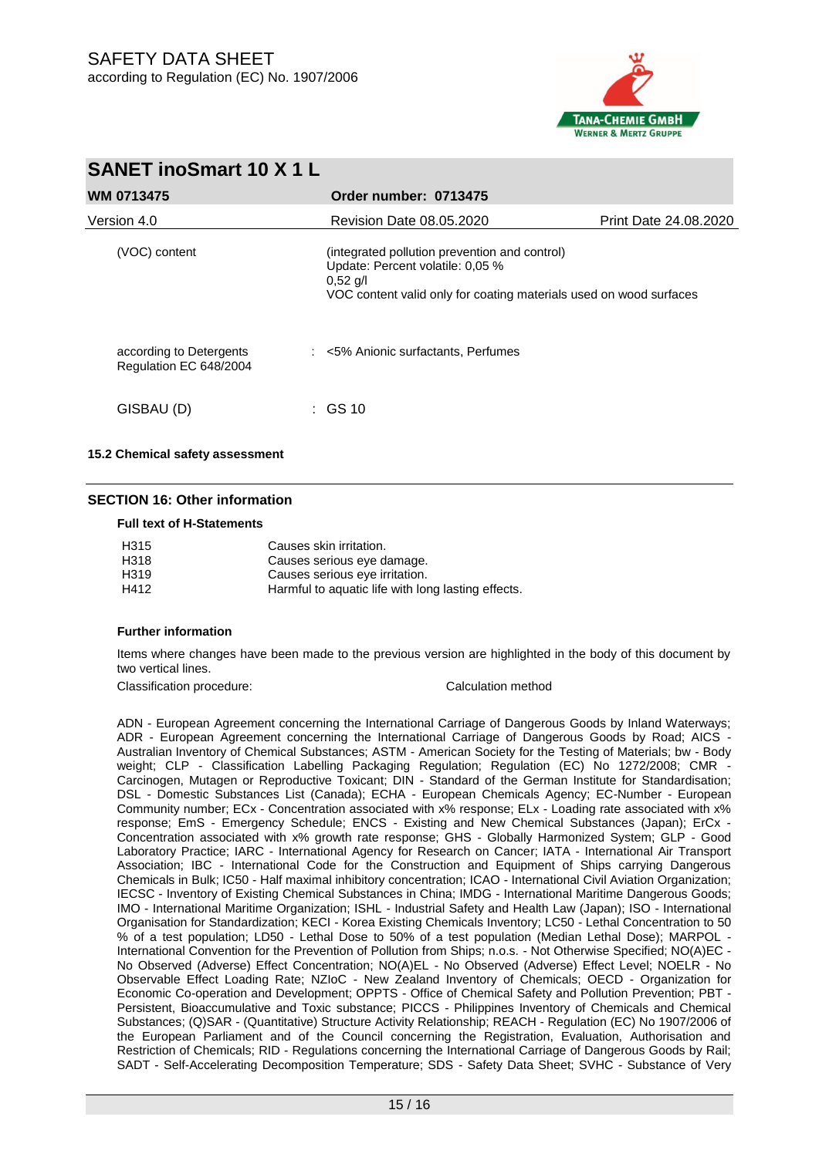

| OANLI IIIUOIIIIAILIU ATL                          |                                                                                                                                                                       |                       |  |
|---------------------------------------------------|-----------------------------------------------------------------------------------------------------------------------------------------------------------------------|-----------------------|--|
| <b>WM 0713475</b>                                 | Order number: 0713475                                                                                                                                                 |                       |  |
| Version 4.0                                       | <b>Revision Date 08.05.2020</b>                                                                                                                                       | Print Date 24.08.2020 |  |
| (VOC) content                                     | (integrated pollution prevention and control)<br>Update: Percent volatile: 0,05 %<br>$0,52$ g/l<br>VOC content valid only for coating materials used on wood surfaces |                       |  |
| according to Detergents<br>Regulation EC 648/2004 | : <5% Anionic surfactants, Perfumes                                                                                                                                   |                       |  |
| GISBAU (D)                                        | $\therefore$ GS 10                                                                                                                                                    |                       |  |

#### **15.2 Chemical safety assessment**

#### **SECTION 16: Other information**

#### **Full text of H-Statements**

| H315 | Causes skin irritation.                            |
|------|----------------------------------------------------|
| H318 | Causes serious eye damage.                         |
| H319 | Causes serious eye irritation.                     |
| H412 | Harmful to aquatic life with long lasting effects. |

#### **Further information**

Items where changes have been made to the previous version are highlighted in the body of this document by two vertical lines.

Classification procedure: Calculation method

ADN - European Agreement concerning the International Carriage of Dangerous Goods by Inland Waterways; ADR - European Agreement concerning the International Carriage of Dangerous Goods by Road; AICS - Australian Inventory of Chemical Substances; ASTM - American Society for the Testing of Materials; bw - Body weight; CLP - Classification Labelling Packaging Regulation; Regulation (EC) No 1272/2008; CMR - Carcinogen, Mutagen or Reproductive Toxicant; DIN - Standard of the German Institute for Standardisation; DSL - Domestic Substances List (Canada); ECHA - European Chemicals Agency; EC-Number - European Community number; ECx - Concentration associated with x% response; ELx - Loading rate associated with x% response; EmS - Emergency Schedule; ENCS - Existing and New Chemical Substances (Japan); ErCx - Concentration associated with x% growth rate response; GHS - Globally Harmonized System; GLP - Good Laboratory Practice; IARC - International Agency for Research on Cancer; IATA - International Air Transport Association; IBC - International Code for the Construction and Equipment of Ships carrying Dangerous Chemicals in Bulk; IC50 - Half maximal inhibitory concentration; ICAO - International Civil Aviation Organization; IECSC - Inventory of Existing Chemical Substances in China; IMDG - International Maritime Dangerous Goods; IMO - International Maritime Organization; ISHL - Industrial Safety and Health Law (Japan); ISO - International Organisation for Standardization; KECI - Korea Existing Chemicals Inventory; LC50 - Lethal Concentration to 50 % of a test population; LD50 - Lethal Dose to 50% of a test population (Median Lethal Dose); MARPOL - International Convention for the Prevention of Pollution from Ships; n.o.s. - Not Otherwise Specified; NO(A)EC - No Observed (Adverse) Effect Concentration; NO(A)EL - No Observed (Adverse) Effect Level; NOELR - No Observable Effect Loading Rate; NZIoC - New Zealand Inventory of Chemicals; OECD - Organization for Economic Co-operation and Development; OPPTS - Office of Chemical Safety and Pollution Prevention; PBT - Persistent, Bioaccumulative and Toxic substance; PICCS - Philippines Inventory of Chemicals and Chemical Substances; (Q)SAR - (Quantitative) Structure Activity Relationship; REACH - Regulation (EC) No 1907/2006 of the European Parliament and of the Council concerning the Registration, Evaluation, Authorisation and Restriction of Chemicals; RID - Regulations concerning the International Carriage of Dangerous Goods by Rail; SADT - Self-Accelerating Decomposition Temperature; SDS - Safety Data Sheet; SVHC - Substance of Very